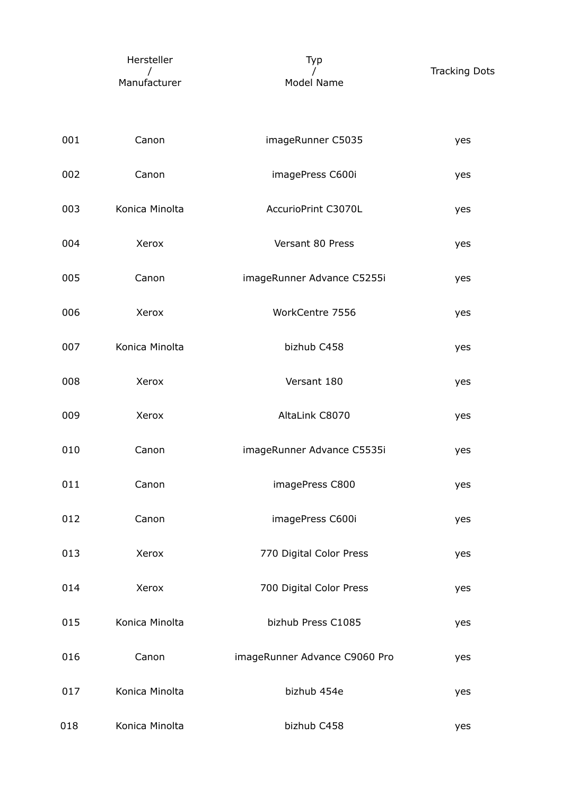| Hersteller   | Tvp        |                      |
|--------------|------------|----------------------|
|              |            | <b>Tracking Dots</b> |
| Manufacturer | Model Name |                      |

| 001 | Canon          | imageRunner C5035             | yes |
|-----|----------------|-------------------------------|-----|
| 002 | Canon          | imagePress C600i              | yes |
| 003 | Konica Minolta | AccurioPrint C3070L           | yes |
| 004 | Xerox          | Versant 80 Press              | yes |
| 005 | Canon          | imageRunner Advance C5255i    | yes |
| 006 | Xerox          | WorkCentre 7556               | yes |
| 007 | Konica Minolta | bizhub C458                   | yes |
| 008 | Xerox          | Versant 180                   | yes |
| 009 | Xerox          | AltaLink C8070                | yes |
| 010 | Canon          | imageRunner Advance C5535i    | yes |
| 011 | Canon          | imagePress C800               | yes |
| 012 | Canon          | imagePress C600i              | yes |
| 013 | Xerox          | 770 Digital Color Press       | yes |
| 014 | Xerox          | 700 Digital Color Press       | yes |
| 015 | Konica Minolta | bizhub Press C1085            | yes |
| 016 | Canon          | imageRunner Advance C9060 Pro | yes |
| 017 | Konica Minolta | bizhub 454e                   | yes |
| 018 | Konica Minolta | bizhub C458                   | yes |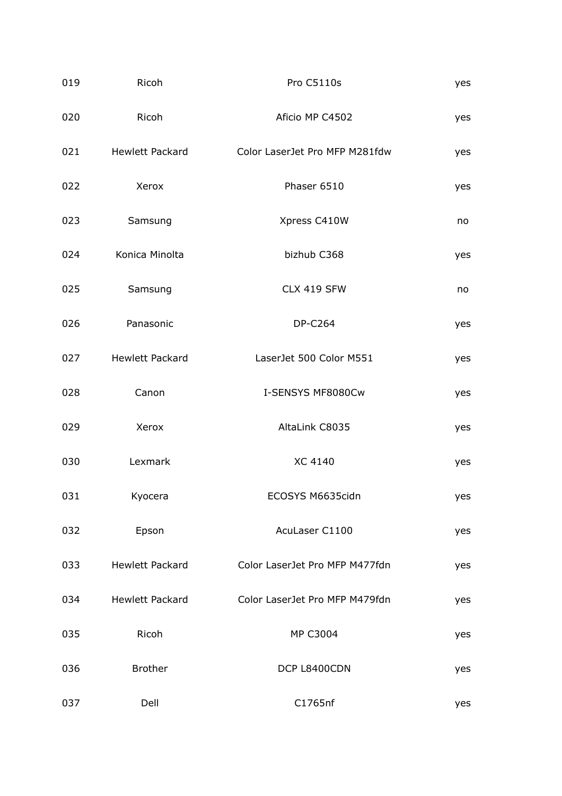| 019 | Ricoh                  | Pro C5110s                     | yes |
|-----|------------------------|--------------------------------|-----|
| 020 | Ricoh                  | Aficio MP C4502                | yes |
|     | 021 Hewlett Packard    | Color LaserJet Pro MFP M281fdw | yes |
| 022 | Xerox                  | Phaser 6510                    | yes |
| 023 | Samsung                | Xpress C410W                   | no  |
| 024 | Konica Minolta         | bizhub C368                    | yes |
| 025 | Samsung                | CLX 419 SFW                    | no  |
| 026 | Panasonic              | <b>DP-C264</b>                 | yes |
| 027 | <b>Hewlett Packard</b> | LaserJet 500 Color M551        | yes |
| 028 | Canon                  | I-SENSYS MF8080Cw              | yes |
| 029 | Xerox                  | AltaLink C8035                 | yes |
| 030 | Lexmark                | <b>XC 4140</b>                 | yes |
| 031 | Kyocera                | ECOSYS M6635cidn               | yes |
| 032 | Epson                  | AcuLaser C1100                 | yes |
| 033 | <b>Hewlett Packard</b> | Color LaserJet Pro MFP M477fdn | yes |
| 034 | <b>Hewlett Packard</b> | Color LaserJet Pro MFP M479fdn | yes |
| 035 | Ricoh                  | MP C3004                       | yes |
| 036 | <b>Brother</b>         | DCP L8400CDN                   | yes |
| 037 | Dell                   | C1765nf                        | yes |